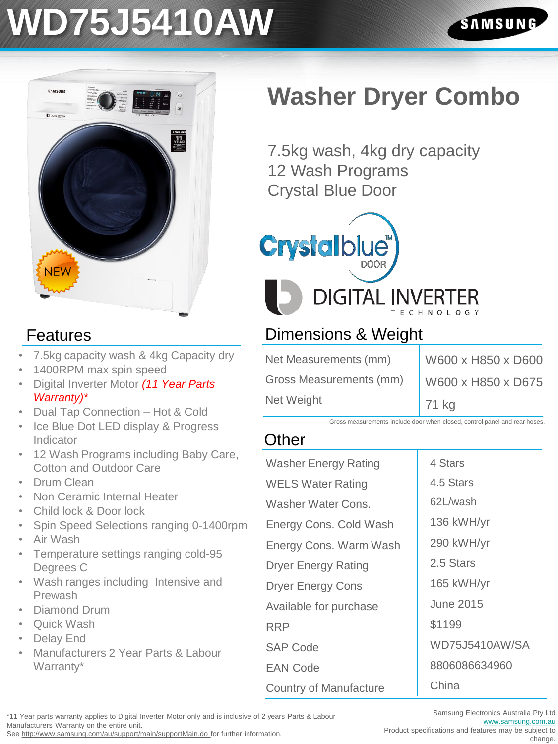### **WD75J5410AW**



#### Features

- 7.5kg capacity wash & 4kg Capacity dry
- 1400RPM max spin speed
- Digital Inverter Motor *(11 Year Parts Warranty)\**
- Dual Tap Connection Hot & Cold
- **Ice Blue Dot LED display & Progress** Indicator
- 12 Wash Programs including Baby Care, Cotton and Outdoor Care
- Drum Clean
- Non Ceramic Internal Heater
- Child lock & Door lock
- Spin Speed Selections ranging 0-1400rpm • Air Wash
- Temperature settings ranging cold-95 Degrees C
- Wash ranges including Intensive and Prewash
- Diamond Drum
- **Quick Wash**
- Delay End
- Manufacturers 2 Year Parts & Labour Warranty\*

### **Washer Dryer Combo**

7.5kg wash, 4kg dry capacity 12 Wash Programs Crystal Blue Door



#### Dimensions & Weight

Net Measurements (mm) Gross Measurements (mm) Net Weight

W600 x H850 x D600 W600 x H850 x D675 71 kg

Gross measurements include door when closed, control panel and rear hoses.

#### **Other**

| Washer Energy Rating          | 4 Stars               |
|-------------------------------|-----------------------|
| <b>WELS Water Rating</b>      | 4.5 Stars             |
| Washer Water Cons.            | 62L/wash              |
| Energy Cons. Cold Wash        | 136 kWH/yr            |
| Energy Cons. Warm Wash        | 290 kWH/yr            |
| <b>Dryer Energy Rating</b>    | 2.5 Stars             |
| Dryer Energy Cons             | 165 kWH/yr            |
| Available for purchase        | <b>June 2015</b>      |
| RRP                           | \$1199                |
| <b>SAP Code</b>               | <b>WD75J5410AW/SA</b> |
| <b>EAN Code</b>               | 8806086634960         |
| <b>Country of Manufacture</b> | China                 |

\*11 Year parts warranty applies to Digital Inverter Motor only and is inclusive of 2 years Parts & Labour Manufacturers Warranty on the entire unit.

See http://www.samsung.com/au/support/main/supportMain.do for further information.

Samsung Electronics Australia Pty Ltd [www.samsung.com.au](http://www.samsung.com.au/)

Product specifications and features may be subject to change.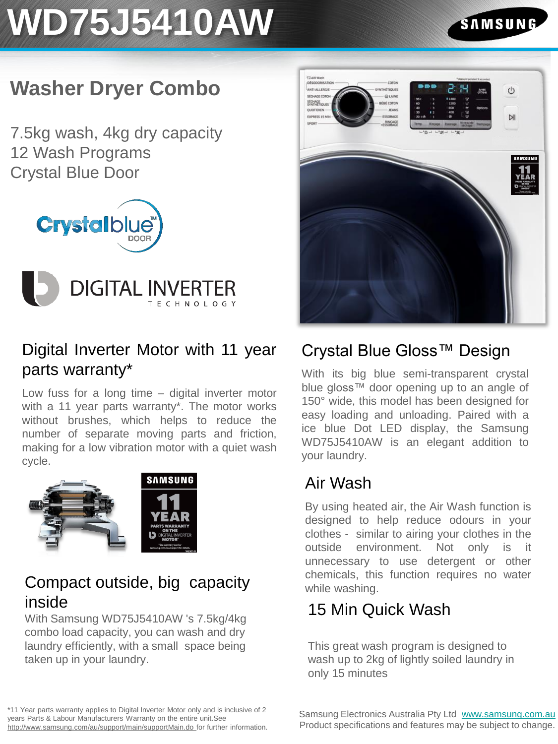## **WD75J5410AW**

#### SAMSUN

#### **Washer Dryer Combo**

7.5kg wash, 4kg dry capacity 12 Wash Programs Crystal Blue Door





#### Digital Inverter Motor with 11 year parts warranty\*

Low fuss for a long time – digital inverter motor with a 11 year parts warranty\*. The motor works without brushes, which helps to reduce the number of separate moving parts and friction, making for a low vibration motor with a quiet wash cycle.



#### Compact outside, big capacity inside

With Samsung WD75J5410AW 's 7.5kg/4kg combo load capacity, you can wash and dry laundry efficiently, with a small space being taken up in your laundry.



#### Crystal Blue Gloss™ Design

With its big blue semi-transparent crystal blue gloss™ door opening up to an angle of 150° wide, this model has been designed for easy loading and unloading. Paired with a ice blue Dot LED display, the Samsung WD75J5410AW is an elegant addition to your laundry.

#### Air Wash

By using heated air, the Air Wash function is designed to help reduce odours in your clothes - similar to airing your clothes in the outside environment. Not only is it unnecessary to use detergent or other chemicals, this function requires no water while washing.

#### 15 Min Quick Wash

This great wash program is designed to wash up to 2kg of lightly soiled laundry in only 15 minutes

\*11 Year parts warranty applies to Digital Inverter Motor only and is inclusive of 2 years Parts & Labour Manufacturers Warranty on the entire unit.See http://www.samsung.com/au/support/main/supportMain.do for further information.

Samsung Electronics Australia Pty Ltd [www.samsung.com.au](http://www.samsung.com.au/) Product specifications and features may be subject to change.